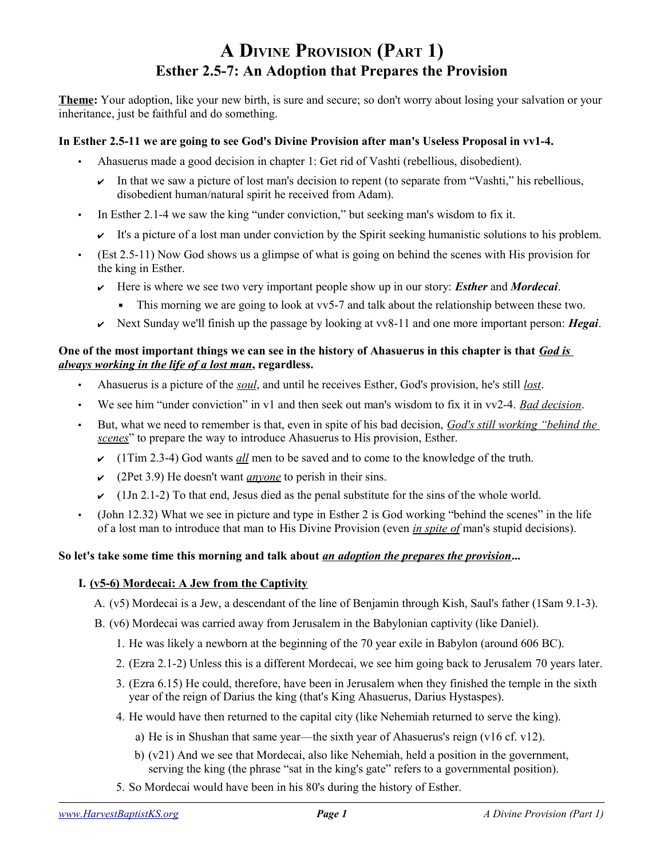# **A DIVINE PROVISION (PART 1) Esther 2.5-7: An Adoption that Prepares the Provision**

**Theme:** Your adoption, like your new birth, is sure and secure; so don't worry about losing your salvation or your inheritance, just be faithful and do something.

### **In Esther 2.5-11 we are going to see God's Divine Provision after man's Useless Proposal in vv1-4.**

- Ahasuerus made a good decision in chapter 1: Get rid of Vashti (rebellious, disobedient).
	- In that we saw a picture of lost man's decision to repent (to separate from "Vashti," his rebellious, disobedient human/natural spirit he received from Adam).
- In Esther 2.1-4 we saw the king "under conviction," but seeking man's wisdom to fix it.
	- $\triangleright$  It's a picture of a lost man under conviction by the Spirit seeking humanistic solutions to his problem.
- (Est 2.5-11) Now God shows us a glimpse of what is going on behind the scenes with His provision for the king in Esther.
	- ✔ Here is where we see two very important people show up in our story: *Esther* and *Mordecai*.
		- This morning we are going to look at vv5-7 and talk about the relationship between these two.
	- ✔ Next Sunday we'll finish up the passage by looking at vv8-11 and one more important person: *Hegai*.

#### **One of the most important things we can see in the history of Ahasuerus in this chapter is that** *God is always working in the life of a lost man***, regardless.**

- Ahasuerus is a picture of the *soul*, and until he receives Esther, God's provision, he's still *lost*.
- We see him "under conviction" in v1 and then seek out man's wisdom to fix it in vv2-4. *Bad decision*.
- But, what we need to remember is that, even in spite of his bad decision, *God's still working "behind the scenes*" to prepare the way to introduce Ahasuerus to His provision, Esther.
	- ✔ (1Tim 2.3-4) God wants *all* men to be saved and to come to the knowledge of the truth.
	- ✔ (2Pet 3.9) He doesn't want *anyone* to perish in their sins.
	- $\sim$  (1Jn 2.1-2) To that end, Jesus died as the penal substitute for the sins of the whole world.
- (John 12.32) What we see in picture and type in Esther 2 is God working "behind the scenes" in the life of a lost man to introduce that man to His Divine Provision (even *in spite of* man's stupid decisions).

## **So let's take some time this morning and talk about** *an adoption the prepares the provision***...**

#### **I. (v5-6) Mordecai: A Jew from the Captivity**

A. (v5) Mordecai is a Jew, a descendant of the line of Benjamin through Kish, Saul's father (1Sam 9.1-3).

B. (v6) Mordecai was carried away from Jerusalem in the Babylonian captivity (like Daniel).

- 1. He was likely a newborn at the beginning of the 70 year exile in Babylon (around 606 BC).
- 2. (Ezra 2.1-2) Unless this is a different Mordecai, we see him going back to Jerusalem 70 years later.
- 3. (Ezra 6.15) He could, therefore, have been in Jerusalem when they finished the temple in the sixth year of the reign of Darius the king (that's King Ahasuerus, Darius Hystaspes).
- 4. He would have then returned to the capital city (like Nehemiah returned to serve the king).
	- a) He is in Shushan that same year—the sixth year of Ahasuerus's reign (v16 cf. v12).
	- b) (v21) And we see that Mordecai, also like Nehemiah, held a position in the government, serving the king (the phrase "sat in the king's gate" refers to a governmental position).
- 5. So Mordecai would have been in his 80's during the history of Esther.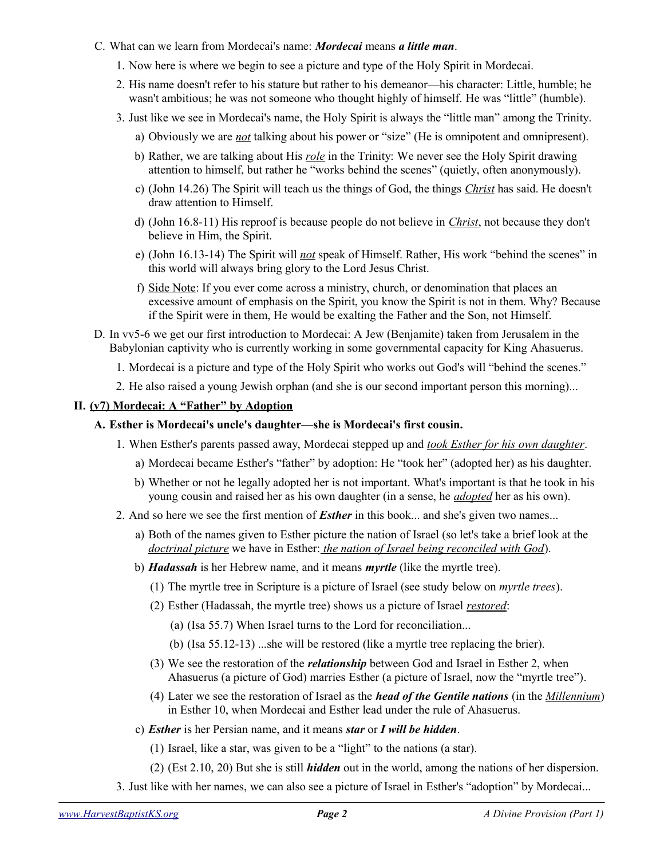- C. What can we learn from Mordecai's name: *Mordecai* means *a little man*.
	- 1. Now here is where we begin to see a picture and type of the Holy Spirit in Mordecai.
	- 2. His name doesn't refer to his stature but rather to his demeanor—his character: Little, humble; he wasn't ambitious; he was not someone who thought highly of himself. He was "little" (humble).
	- 3. Just like we see in Mordecai's name, the Holy Spirit is always the "little man" among the Trinity.
		- a) Obviously we are *not* talking about his power or "size" (He is omnipotent and omnipresent).
		- b) Rather, we are talking about His *role* in the Trinity: We never see the Holy Spirit drawing attention to himself, but rather he "works behind the scenes" (quietly, often anonymously).
		- c) (John 14.26) The Spirit will teach us the things of God, the things *Christ* has said. He doesn't draw attention to Himself.
		- d) (John 16.8-11) His reproof is because people do not believe in *Christ*, not because they don't believe in Him, the Spirit.
		- e) (John 16.13-14) The Spirit will *not* speak of Himself. Rather, His work "behind the scenes" in this world will always bring glory to the Lord Jesus Christ.
		- f) Side Note: If you ever come across a ministry, church, or denomination that places an excessive amount of emphasis on the Spirit, you know the Spirit is not in them. Why? Because if the Spirit were in them, He would be exalting the Father and the Son, not Himself.
- D. In vv5-6 we get our first introduction to Mordecai: A Jew (Benjamite) taken from Jerusalem in the Babylonian captivity who is currently working in some governmental capacity for King Ahasuerus.
	- 1. Mordecai is a picture and type of the Holy Spirit who works out God's will "behind the scenes."
	- 2. He also raised a young Jewish orphan (and she is our second important person this morning)...

#### **II. (v7) Mordecai: A "Father" by Adoption**

#### **A. Esther is Mordecai's uncle's daughter—she is Mordecai's first cousin.**

- 1. When Esther's parents passed away, Mordecai stepped up and *took Esther for his own daughter*.
	- a) Mordecai became Esther's "father" by adoption: He "took her" (adopted her) as his daughter.
	- b) Whether or not he legally adopted her is not important. What's important is that he took in his young cousin and raised her as his own daughter (in a sense, he *adopted* her as his own).
- 2. And so here we see the first mention of *Esther* in this book... and she's given two names...
	- a) Both of the names given to Esther picture the nation of Israel (so let's take a brief look at the *doctrinal picture* we have in Esther: *the nation of Israel being reconciled with God*).
	- b) *Hadassah* is her Hebrew name, and it means *myrtle* (like the myrtle tree).
		- (1) The myrtle tree in Scripture is a picture of Israel (see study below on *myrtle trees*).
		- (2) Esther (Hadassah, the myrtle tree) shows us a picture of Israel *restored*:
			- (a) (Isa 55.7) When Israel turns to the Lord for reconciliation...
			- (b) (Isa 55.12-13) ...she will be restored (like a myrtle tree replacing the brier).
		- (3) We see the restoration of the *relationship* between God and Israel in Esther 2, when Ahasuerus (a picture of God) marries Esther (a picture of Israel, now the "myrtle tree").
		- (4) Later we see the restoration of Israel as the *head of the Gentile nations* (in the *Millennium*) in Esther 10, when Mordecai and Esther lead under the rule of Ahasuerus.
	- c) *Esther* is her Persian name, and it means *star* or *I will be hidden*.
		- (1) Israel, like a star, was given to be a "light" to the nations (a star).
		- (2) (Est 2.10, 20) But she is still *hidden* out in the world, among the nations of her dispersion.
- 3. Just like with her names, we can also see a picture of Israel in Esther's "adoption" by Mordecai...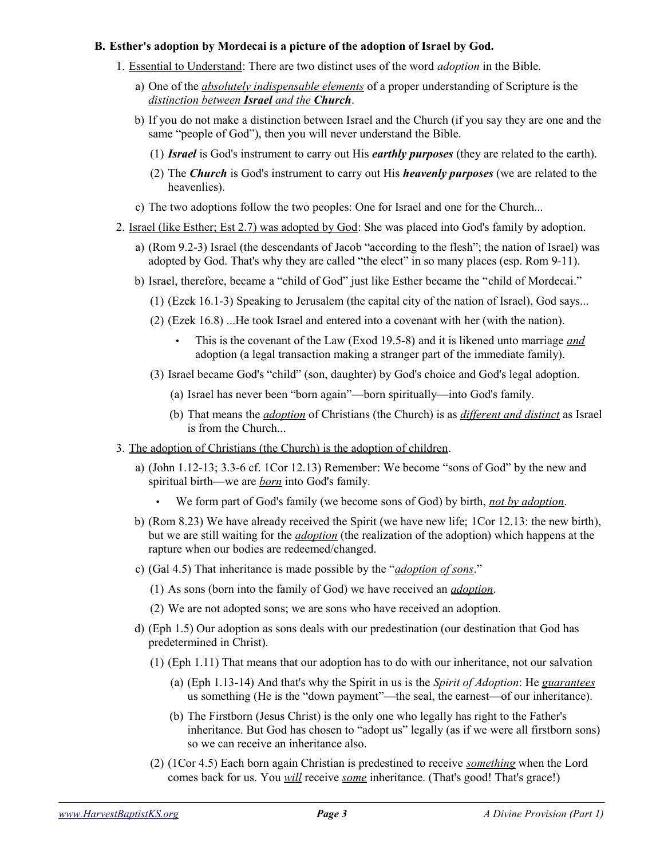#### **B. Esther's adoption by Mordecai is a picture of the adoption of Israel by God.**

- 1. Essential to Understand: There are two distinct uses of the word *adoption* in the Bible.
	- a) One of the *absolutely indispensable elements* of a proper understanding of Scripture is the  *distinction between Israel and the Church*.
	- b) If you do not make a distinction between Israel and the Church (if you say they are one and the same "people of God"), then you will never understand the Bible.
		- (1) *Israel* is God's instrument to carry out His *earthly purposes* (they are related to the earth).
		- (2) The *Church* is God's instrument to carry out His *heavenly purposes* (we are related to the heavenlies).
	- c) The two adoptions follow the two peoples: One for Israel and one for the Church...
- 2. Israel (like Esther; Est 2.7) was adopted by God: She was placed into God's family by adoption.
	- a) (Rom 9.2-3) Israel (the descendants of Jacob "according to the flesh"; the nation of Israel) was adopted by God. That's why they are called "the elect" in so many places (esp. Rom 9-11).
	- b) Israel, therefore, became a "child of God" just like Esther became the "child of Mordecai."
		- (1) (Ezek 16.1-3) Speaking to Jerusalem (the capital city of the nation of Israel), God says...
		- (2) (Ezek 16.8) ...He took Israel and entered into a covenant with her (with the nation).
			- This is the covenant of the Law (Exod 19.5-8) and it is likened unto marriage *and* adoption (a legal transaction making a stranger part of the immediate family).
		- (3) Israel became God's "child" (son, daughter) by God's choice and God's legal adoption.
			- (a) Israel has never been "born again"—born spiritually—into God's family.
			- (b) That means the *adoption* of Christians (the Church) is as *different and distinct* as Israel is from the Church...
- 3. The adoption of Christians (the Church) is the adoption of children.
	- a) (John 1.12-13; 3.3-6 cf. 1Cor 12.13) Remember: We become "sons of God" by the new and spiritual birth—we are *born* into God's family.
		- We form part of God's family (we become sons of God) by birth, *not by adoption*.
	- b) (Rom 8.23) We have already received the Spirit (we have new life; 1Cor 12.13: the new birth), but we are still waiting for the *adoption* (the realization of the adoption) which happens at the rapture when our bodies are redeemed/changed.
	- c) (Gal 4.5) That inheritance is made possible by the "*adoption of sons*."
		- (1) As sons (born into the family of God) we have received an *adoption*.
		- (2) We are not adopted sons; we are sons who have received an adoption.
	- d) (Eph 1.5) Our adoption as sons deals with our predestination (our destination that God has predetermined in Christ).
		- (1) (Eph 1.11) That means that our adoption has to do with our inheritance, not our salvation
			- (a) (Eph 1.13-14) And that's why the Spirit in us is the *Spirit of Adoption*: He *guarantees* us something (He is the "down payment"—the seal, the earnest—of our inheritance).
			- (b) The Firstborn (Jesus Christ) is the only one who legally has right to the Father's inheritance. But God has chosen to "adopt us" legally (as if we were all firstborn sons) so we can receive an inheritance also.
		- (2) (1Cor 4.5) Each born again Christian is predestined to receive *something* when the Lord comes back for us. You *will* receive *some* inheritance. (That's good! That's grace!)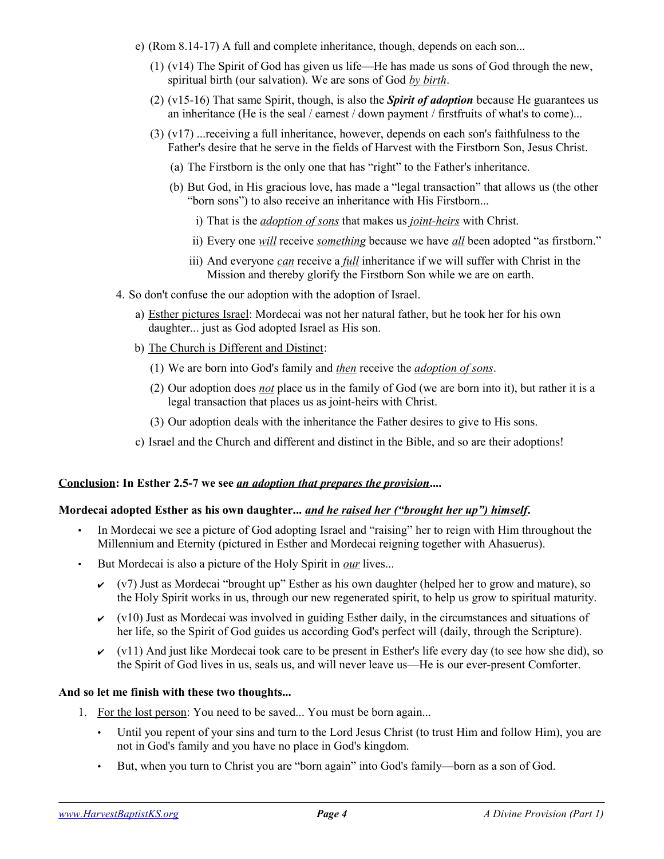- e) (Rom 8.14-17) A full and complete inheritance, though, depends on each son...
	- (1) (v14) The Spirit of God has given us life—He has made us sons of God through the new, spiritual birth (our salvation). We are sons of God *by birth*.
	- (2) (v15-16) That same Spirit, though, is also the *Spirit of adoption* because He guarantees us an inheritance (He is the seal / earnest / down payment / firstfruits of what's to come)...
	- (3) (v17) ...receiving a full inheritance, however, depends on each son's faithfulness to the Father's desire that he serve in the fields of Harvest with the Firstborn Son, Jesus Christ.
		- (a) The Firstborn is the only one that has "right" to the Father's inheritance.
		- (b) But God, in His gracious love, has made a "legal transaction" that allows us (the other "born sons") to also receive an inheritance with His Firstborn...
			- i) That is the *adoption of sons* that makes us *joint-heirs* with Christ.
			- ii) Every one *will* receive *something* because we have *all* been adopted "as firstborn."
			- iii) And everyone *can* receive a *full* inheritance if we will suffer with Christ in the Mission and thereby glorify the Firstborn Son while we are on earth.
- 4. So don't confuse the our adoption with the adoption of Israel.
	- a) Esther pictures Israel: Mordecai was not her natural father, but he took her for his own daughter... just as God adopted Israel as His son.
	- b) The Church is Different and Distinct:
		- (1) We are born into God's family and *then* receive the *adoption of sons*.
		- (2) Our adoption does *not* place us in the family of God (we are born into it), but rather it is a legal transaction that places us as joint-heirs with Christ.
		- (3) Our adoption deals with the inheritance the Father desires to give to His sons.
	- c) Israel and the Church and different and distinct in the Bible, and so are their adoptions!

#### **Conclusion:** In Esther 2.5-7 we see <u>an adoption that prepares the provision</u>....

## **Mordecai adopted Esther as his own daughter...** *and he raised her ("brought her up") himself***.**

- In Mordecai we see a picture of God adopting Israel and "raising" her to reign with Him throughout the Millennium and Eternity (pictured in Esther and Mordecai reigning together with Ahasuerus).
- But Mordecai is also a picture of the Holy Spirit in *our* lives...
	- $\checkmark$  (v7) Just as Mordecai "brought up" Esther as his own daughter (helped her to grow and mature), so the Holy Spirit works in us, through our new regenerated spirit, to help us grow to spiritual maturity.
	- $\vee$  (v10) Just as Mordecai was involved in guiding Esther daily, in the circumstances and situations of her life, so the Spirit of God guides us according God's perfect will (daily, through the Scripture).
	- $\vee$  (v11) And just like Mordecai took care to be present in Esther's life every day (to see how she did), so the Spirit of God lives in us, seals us, and will never leave us—He is our ever-present Comforter.

## **And so let me finish with these two thoughts...**

- 1. For the lost person: You need to be saved... You must be born again...
	- Until you repent of your sins and turn to the Lord Jesus Christ (to trust Him and follow Him), you are not in God's family and you have no place in God's kingdom.
	- But, when you turn to Christ you are "born again" into God's family—born as a son of God.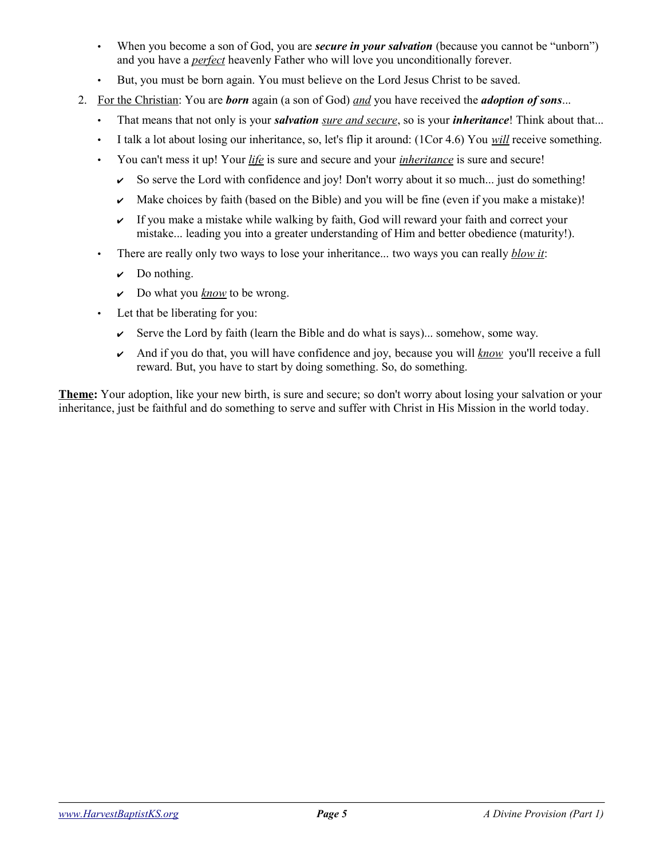- When you become a son of God, you are *secure in your salvation* (because you cannot be "unborn") and you have a *perfect* heavenly Father who will love you unconditionally forever.
- But, you must be born again. You must believe on the Lord Jesus Christ to be saved.
- 2. For the Christian: You are *born* again (a son of God) *and* you have received the *adoption of sons*...
	- That means that not only is your *salvation sure and secure*, so is your *inheritance*! Think about that...
	- I talk a lot about losing our inheritance, so, let's flip it around: (1Cor 4.6) You *will* receive something.
	- You can't mess it up! Your *life* is sure and secure and your *inheritance* is sure and secure!
		- $\triangleright$  So serve the Lord with confidence and joy! Don't worry about it so much... just do something!
		- $\sim$  Make choices by faith (based on the Bible) and you will be fine (even if you make a mistake)!
		- $\sim$  If you make a mistake while walking by faith, God will reward your faith and correct your mistake... leading you into a greater understanding of Him and better obedience (maturity!).
	- There are really only two ways to lose your inheritance... two ways you can really *blow it*:
		- $\mathcal V$  Do nothing.
		- ✔ Do what you *know* to be wrong.
	- Let that be liberating for you:
		- $\triangleright$  Serve the Lord by faith (learn the Bible and do what is says)... somehow, some way.
		- ✔ And if you do that, you will have confidence and joy, because you will *know* you'll receive a full reward. But, you have to start by doing something. So, do something.

**Theme:** Your adoption, like your new birth, is sure and secure; so don't worry about losing your salvation or your inheritance, just be faithful and do something to serve and suffer with Christ in His Mission in the world today.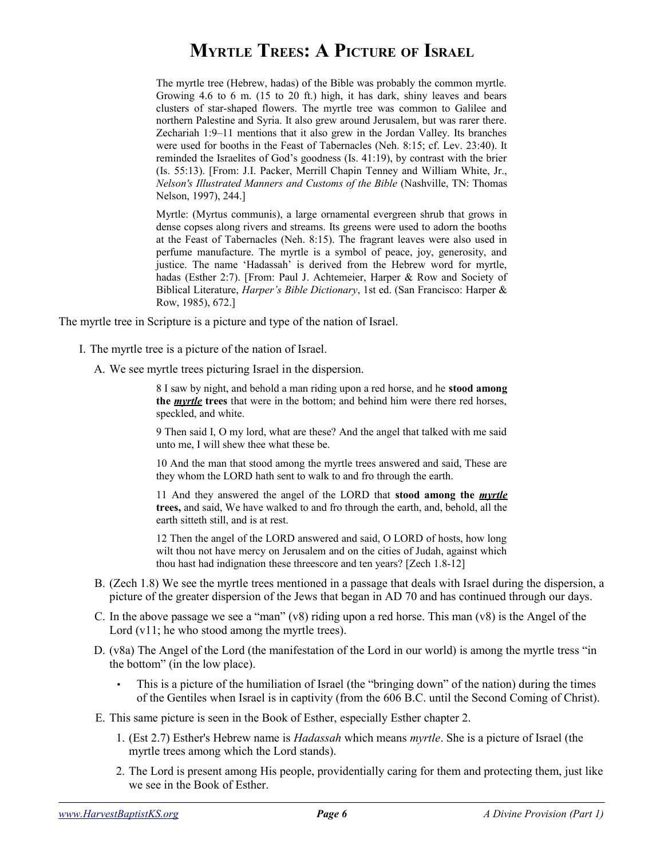# **MYRTLE TREES: A PICTURE OF ISRAEL**

The myrtle tree (Hebrew, hadas) of the Bible was probably the common myrtle. Growing 4.6 to 6 m. (15 to 20 ft.) high, it has dark, shiny leaves and bears clusters of star-shaped flowers. The myrtle tree was common to Galilee and northern Palestine and Syria. It also grew around Jerusalem, but was rarer there. Zechariah 1:9–11 mentions that it also grew in the Jordan Valley. Its branches were used for booths in the Feast of Tabernacles (Neh. 8:15; cf. Lev. 23:40). It reminded the Israelites of God's goodness (Is. 41:19), by contrast with the brier (Is. 55:13). [From: J.I. Packer, Merrill Chapin Tenney and William White, Jr., *Nelson's Illustrated Manners and Customs of the Bible* (Nashville, TN: Thomas Nelson, 1997), 244.]

Myrtle: (Myrtus communis), a large ornamental evergreen shrub that grows in dense copses along rivers and streams. Its greens were used to adorn the booths at the Feast of Tabernacles (Neh. 8:15). The fragrant leaves were also used in perfume manufacture. The myrtle is a symbol of peace, joy, generosity, and justice. The name 'Hadassah' is derived from the Hebrew word for myrtle, hadas (Esther 2:7). [From: Paul J. Achtemeier, Harper & Row and Society of Biblical Literature, *Harper's Bible Dictionary*, 1st ed. (San Francisco: Harper & Row, 1985), 672.]

The myrtle tree in Scripture is a picture and type of the nation of Israel.

- I. The myrtle tree is a picture of the nation of Israel.
	- A. We see myrtle trees picturing Israel in the dispersion.

8 I saw by night, and behold a man riding upon a red horse, and he **stood among the** *myrtle* **trees** that were in the bottom; and behind him were there red horses, speckled, and white.

9 Then said I, O my lord, what are these? And the angel that talked with me said unto me, I will shew thee what these be.

10 And the man that stood among the myrtle trees answered and said, These are they whom the LORD hath sent to walk to and fro through the earth.

11 And they answered the angel of the LORD that **stood among the** *myrtle* **trees,** and said, We have walked to and fro through the earth, and, behold, all the earth sitteth still, and is at rest.

12 Then the angel of the LORD answered and said, O LORD of hosts, how long wilt thou not have mercy on Jerusalem and on the cities of Judah, against which thou hast had indignation these threescore and ten years? [Zech 1.8-12]

- B. (Zech 1.8) We see the myrtle trees mentioned in a passage that deals with Israel during the dispersion, a picture of the greater dispersion of the Jews that began in AD 70 and has continued through our days.
- C. In the above passage we see a "man" (v8) riding upon a red horse. This man (v8) is the Angel of the Lord  $(v11)$ ; he who stood among the myrtle trees).
- D. (v8a) The Angel of the Lord (the manifestation of the Lord in our world) is among the myrtle tress "in the bottom" (in the low place).
	- This is a picture of the humiliation of Israel (the "bringing down" of the nation) during the times of the Gentiles when Israel is in captivity (from the 606 B.C. until the Second Coming of Christ).
- E. This same picture is seen in the Book of Esther, especially Esther chapter 2.
	- 1. (Est 2.7) Esther's Hebrew name is *Hadassah* which means *myrtle*. She is a picture of Israel (the myrtle trees among which the Lord stands).
	- 2. The Lord is present among His people, providentially caring for them and protecting them, just like we see in the Book of Esther.